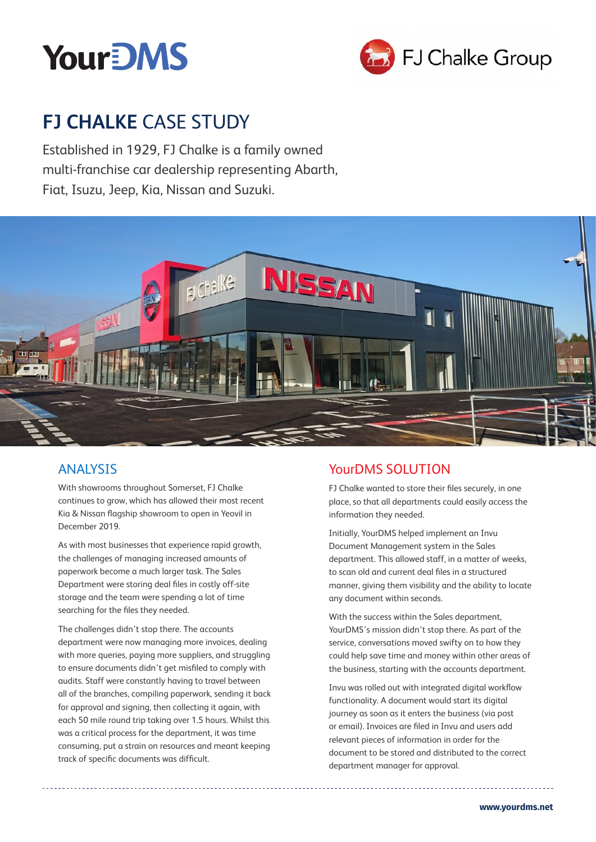



# **FJ CHALKE** CASE STUDY

Established in 1929, FJ Chalke is a family owned multi-franchise car dealership representing Abarth, Fiat, Isuzu, Jeep, Kia, Nissan and Suzuki.



### ANALYSIS

With showrooms throughout Somerset, FJ Chalke continues to grow, which has allowed their most recent Kia & Nissan flagship showroom to open in Yeovil in December 2019.

As with most businesses that experience rapid growth, the challenges of managing increased amounts of paperwork become a much larger task. The Sales Department were storing deal files in costly off-site storage and the team were spending a lot of time searching for the files they needed.

The challenges didn't stop there. The accounts department were now managing more invoices, dealing with more queries, paying more suppliers, and struggling to ensure documents didn't get misfiled to comply with audits. Staff were constantly having to travel between all of the branches, compiling paperwork, sending it back for approval and signing, then collecting it again, with each 50 mile round trip taking over 1.5 hours. Whilst this was a critical process for the department, it was time consuming, put a strain on resources and meant keeping track of specific documents was difficult.

## YourDMS SOLUTION

FJ Chalke wanted to store their files securely, in one place, so that all departments could easily access the information they needed.

Initially, YourDMS helped implement an Invu Document Management system in the Sales department. This allowed staff, in a matter of weeks, to scan old and current deal files in a structured manner, giving them visibility and the ability to locate any document within seconds.

With the success within the Sales department, YourDMS's mission didn't stop there. As part of the service, conversations moved swifty on to how they could help save time and money within other areas of the business, starting with the accounts department.

Invu was rolled out with integrated digital workflow functionality. A document would start its digital journey as soon as it enters the business (via post or email). Invoices are filed in Invu and users add relevant pieces of information in order for the document to be stored and distributed to the correct department manager for approval.